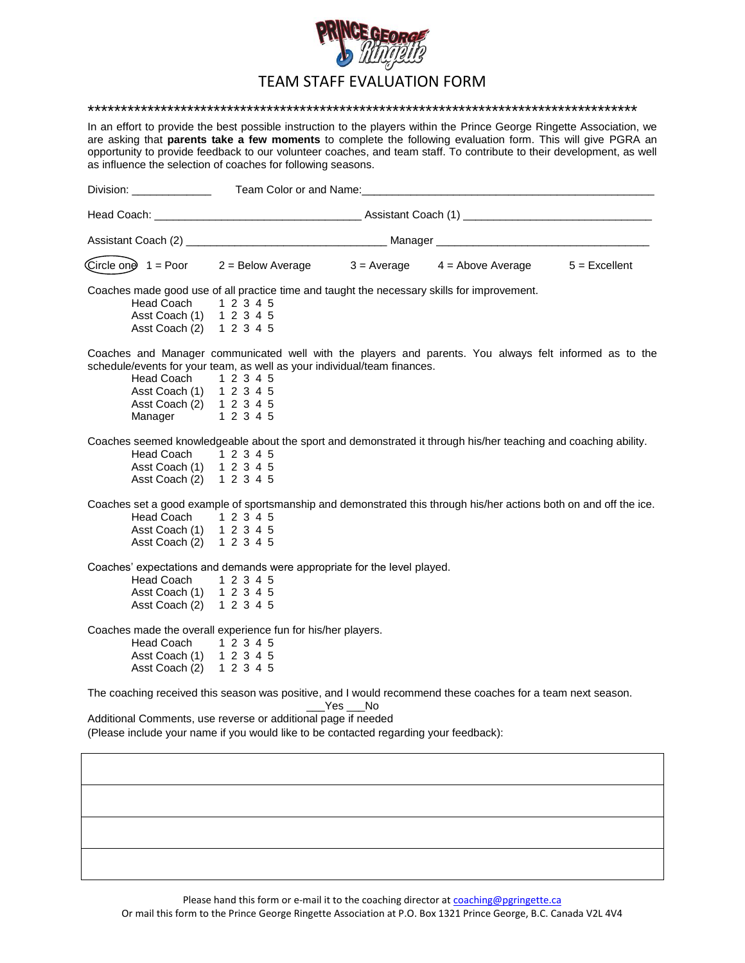

## TEAM STAFF EVALUATION FORM

\*\*\*\*\*\*\*\*\*\*\*\*\*\*\*\*\*\*\*\*\*\*\*\*\*\*\*\*\*\*\*\*\*\*\*\*\*\*\*\*\*\*\*\*\*\*\*\*\*\*\*\*\*\*\*\*\*\*\*\*\*\*\*\*\*\*\*\*\*\*\*\*\*\*\*\*\*\*\*\*\*\*\*

In an effort to provide the best possible instruction to the players within the Prince George Ringette Association, we are asking that **parents take a few moments** to complete the following evaluation form. This will give PGRA an opportunity to provide feedback to our volunteer coaches, and team staff. To contribute to their development, as well as influence the selection of coaches for following seasons.

| Division: ______________                                                                                                                                                    | Team Color or and Name: Manual According to the Color of According to the Color of According to the Color of A |        |                                                                                                                    |  |
|-----------------------------------------------------------------------------------------------------------------------------------------------------------------------------|----------------------------------------------------------------------------------------------------------------|--------|--------------------------------------------------------------------------------------------------------------------|--|
|                                                                                                                                                                             |                                                                                                                |        |                                                                                                                    |  |
|                                                                                                                                                                             |                                                                                                                |        |                                                                                                                    |  |
|                                                                                                                                                                             |                                                                                                                |        | Circle one 1 = Poor 2 = Below Average 3 = Average 4 = Above Average 5 = Excellent                                  |  |
| Coaches made good use of all practice time and taught the necessary skills for improvement.<br>Head Coach 1 2 3 4 5<br>Asst Coach (1) 1 2 3 4 5<br>Asst Coach (2) 1 2 3 4 5 |                                                                                                                |        |                                                                                                                    |  |
| schedule/events for your team, as well as your individual/team finances.<br>Head Coach<br>Asst Coach (1) 1 2 3 4 5<br>Asst Coach (2) 1 2 3 4 5<br>Manager                   | 1 2 3 4 5<br>1 2 3 4 5                                                                                         |        | Coaches and Manager communicated well with the players and parents. You always felt informed as to the             |  |
| Head Coach<br>Asst Coach (1) 1 2 3 4 5<br>Asst Coach (2) 1 2 3 4 5                                                                                                          | 1 2 3 4 5                                                                                                      |        | Coaches seemed knowledgeable about the sport and demonstrated it through his/her teaching and coaching ability.    |  |
| Head Coach 1 2 3 4 5<br>Asst Coach (1)<br>Asst Coach (2) 1 2 3 4 5                                                                                                          | 1 2 3 4 5                                                                                                      |        | Coaches set a good example of sportsmanship and demonstrated this through his/her actions both on and off the ice. |  |
| Coaches' expectations and demands were appropriate for the level played.<br>Head Coach<br>Asst Coach (1)<br>Asst Coach (2)                                                  | 1 2 3 4 5<br>1 2 3 4 5<br>1 2 3 4 5                                                                            |        |                                                                                                                    |  |
| Coaches made the overall experience fun for his/her players.<br>Head Coach 1 2 3 4 5<br>Asst Coach (1) 1 2 3 4 5<br>Asst Coach (2) 1 2 3 4 5                                |                                                                                                                |        |                                                                                                                    |  |
|                                                                                                                                                                             |                                                                                                                |        | The coaching received this season was positive, and I would recommend these coaches for a team next season.        |  |
| Additional Comments, use reverse or additional page if needed<br>(Please include your name if you would like to be contacted regarding your feedback):                      |                                                                                                                | Yes No |                                                                                                                    |  |
|                                                                                                                                                                             |                                                                                                                |        |                                                                                                                    |  |
|                                                                                                                                                                             |                                                                                                                |        |                                                                                                                    |  |